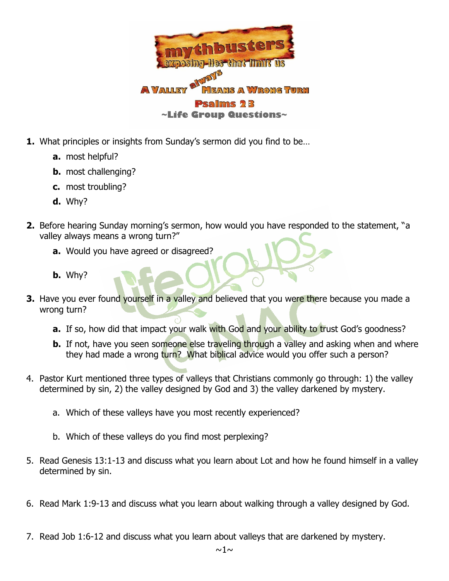

- **1.** What principles or insights from Sunday's sermon did you find to be…
	- **a.** most helpful?
	- **b.** most challenging?
	- **c.** most troubling?
	- **d.** Why?
- **2.** Before hearing Sunday morning's sermon, how would you have responded to the statement, "a valley always means a wrong turn?"
	- **a.** Would you have agreed or disagreed?
	- **b.** Why?
- **3.** Have you ever found yourself in a valley and believed that you were there because you made a wrong turn?
	- **a.** If so, how did that impact your walk with God and your ability to trust God's goodness?
	- **b.** If not, have you seen someone else traveling through a valley and asking when and where they had made a wrong turn? What biblical advice would you offer such a person?
- 4. Pastor Kurt mentioned three types of valleys that Christians commonly go through: 1) the valley determined by sin, 2) the valley designed by God and 3) the valley darkened by mystery.
	- a. Which of these valleys have you most recently experienced?
	- b. Which of these valleys do you find most perplexing?
- 5. Read Genesis 13:1-13 and discuss what you learn about Lot and how he found himself in a valley determined by sin.
- 6. Read Mark 1:9-13 and discuss what you learn about walking through a valley designed by God.
- 7. Read Job 1:6-12 and discuss what you learn about valleys that are darkened by mystery.